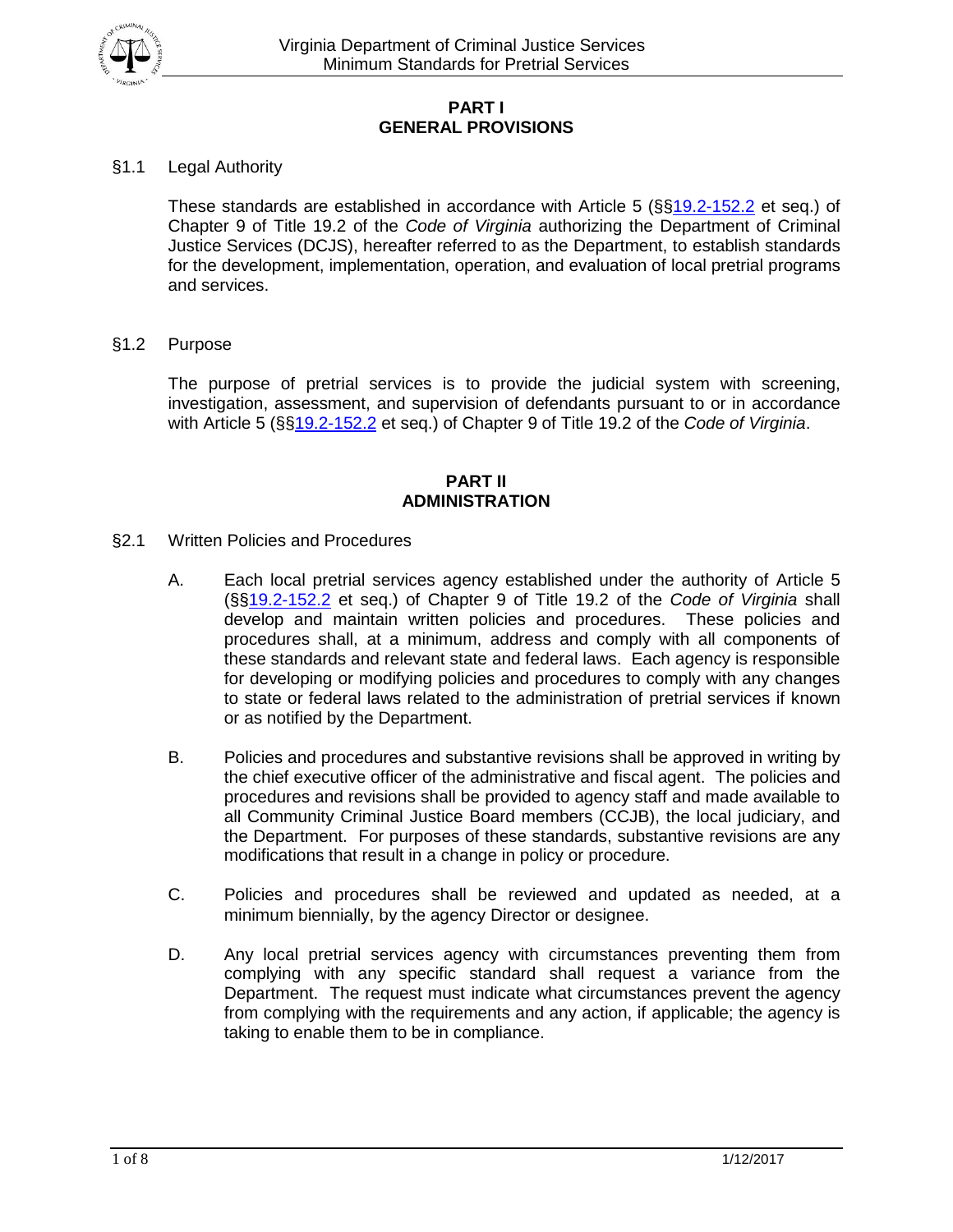

# **PART I GENERAL PROVISIONS**

# §1.1 Legal Authority

These standards are established in accordance with Article 5 (§[§19.2-152.2](http://leg1.state.va.us/cgi-bin/legp504.exe?000+cod+19.2-152.2) et seq.) of Chapter 9 of Title 19.2 of the *Code of Virginia* authorizing the Department of Criminal Justice Services (DCJS), hereafter referred to as the Department, to establish standards for the development, implementation, operation, and evaluation of local pretrial programs and services.

§1.2 Purpose

The purpose of pretrial services is to provide the judicial system with screening, investigation, assessment, and supervision of defendants pursuant to or in accordance with Article 5 (§[§19.2-152.2](http://leg1.state.va.us/cgi-bin/legp504.exe?000+cod+19.2-152.2) et seq.) of Chapter 9 of Title 19.2 of the *Code of Virginia*.

#### **PART II ADMINISTRATION**

- §2.1 Written Policies and Procedures
	- A. Each local pretrial services agency established under the authority of Article 5 (§[§19.2-152.2](http://leg1.state.va.us/cgi-bin/legp504.exe?000+cod+19.2-152.2) et seq.) of Chapter 9 of Title 19.2 of the *Code of Virginia* shall develop and maintain written policies and procedures. These policies and procedures shall, at a minimum, address and comply with all components of these standards and relevant state and federal laws. Each agency is responsible for developing or modifying policies and procedures to comply with any changes to state or federal laws related to the administration of pretrial services if known or as notified by the Department.
	- B. Policies and procedures and substantive revisions shall be approved in writing by the chief executive officer of the administrative and fiscal agent. The policies and procedures and revisions shall be provided to agency staff and made available to all Community Criminal Justice Board members (CCJB), the local judiciary, and the Department. For purposes of these standards, substantive revisions are any modifications that result in a change in policy or procedure.
	- C. Policies and procedures shall be reviewed and updated as needed, at a minimum biennially, by the agency Director or designee.
	- D. Any local pretrial services agency with circumstances preventing them from complying with any specific standard shall request a variance from the Department. The request must indicate what circumstances prevent the agency from complying with the requirements and any action, if applicable; the agency is taking to enable them to be in compliance.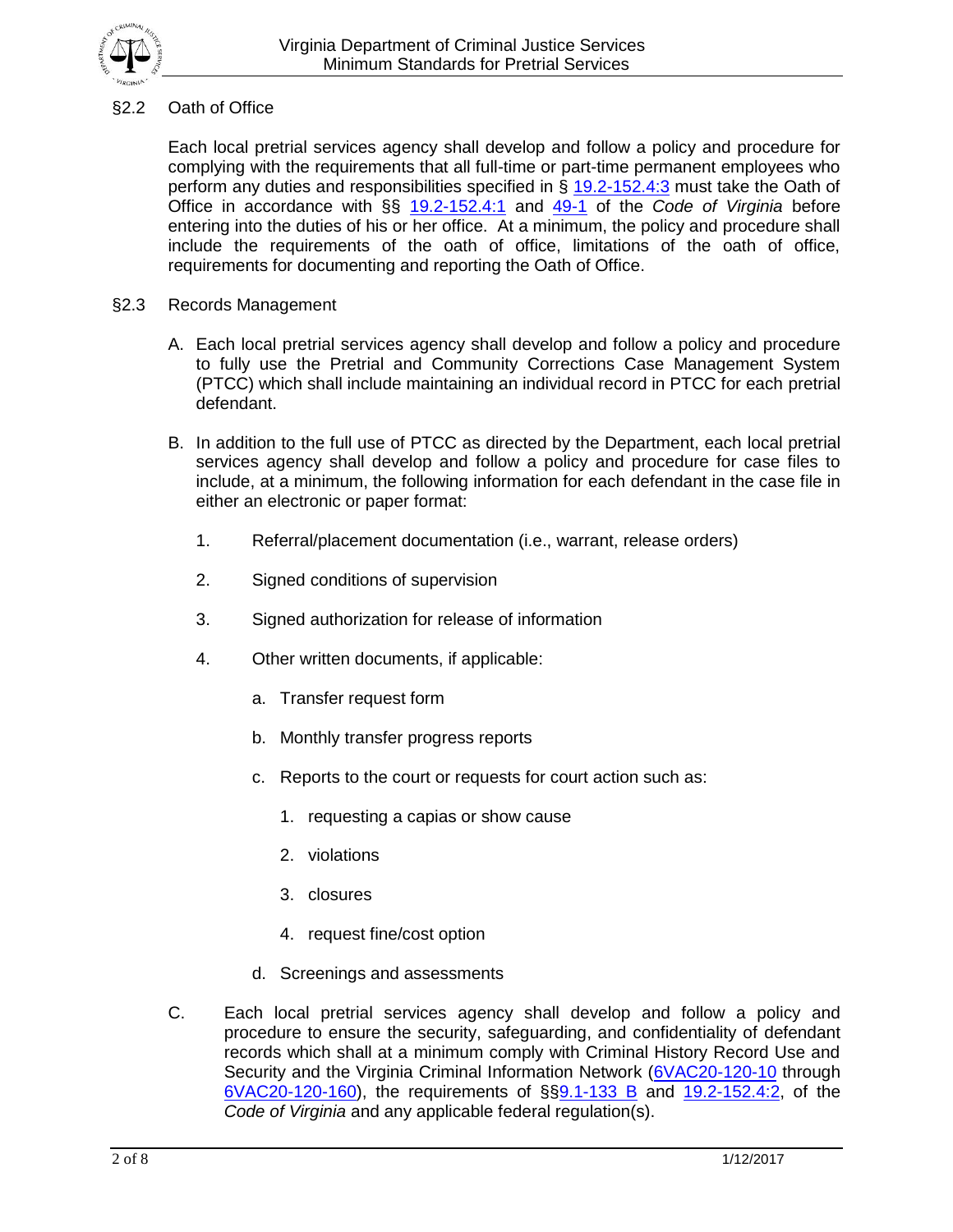

# §2.2 Oath of Office

Each local pretrial services agency shall develop and follow a policy and procedure for complying with the requirements that all full-time or part-time permanent employees who perform any duties and responsibilities specified in § [19.2-152.4:3](http://law.lis.virginia.gov/vacode/title19.2/chapter9/section19.2-152.4:3/) must take the Oath of Office in accordance with §§ [19.2-152.4:1](http://law.lis.virginia.gov/vacode/title19.2/chapter9/section19.2-152.4:1/) and [49-1](http://law.lis.virginia.gov/vacode/49-1/) of the *Code of Virginia* before entering into the duties of his or her office. At a minimum, the policy and procedure shall include the requirements of the oath of office, limitations of the oath of office, requirements for documenting and reporting the Oath of Office.

- §2.3 Records Management
	- A. Each local pretrial services agency shall develop and follow a policy and procedure to fully use the Pretrial and Community Corrections Case Management System (PTCC) which shall include maintaining an individual record in PTCC for each pretrial defendant.
	- B. In addition to the full use of PTCC as directed by the Department, each local pretrial services agency shall develop and follow a policy and procedure for case files to include, at a minimum, the following information for each defendant in the case file in either an electronic or paper format:
		- 1. Referral/placement documentation (i.e., warrant, release orders)
		- 2. Signed conditions of supervision
		- 3. Signed authorization for release of information
		- 4. Other written documents, if applicable:
			- a. Transfer request form
			- b. Monthly transfer progress reports
			- c. Reports to the court or requests for court action such as:
				- 1. requesting a capias or show cause
				- 2. violations
				- 3. closures
				- 4. request fine/cost option
			- d. Screenings and assessments
	- C. Each local pretrial services agency shall develop and follow a policy and procedure to ensure the security, safeguarding, and confidentiality of defendant records which shall at a minimum comply with Criminal History Record Use and Security and the Virginia Criminal Information Network [\(6VAC20-120-10](http://leg1.state.va.us/cgi-bin/legp504.exe?000+reg+6VAC20-120-10) through [6VAC20-120-160\)](http://leg1.state.va.us/cgi-bin/legp504.exe?000+reg+6VAC20-120-160), the requirements of §[§9.1-133 B](http://leg1.state.va.us/cgi-bin/legp504.exe?000+cod+9.1-133) and [19.2-152.4:2,](http://law.lis.virginia.gov/vacode/title19.2/chapter9/section19.2-152.4:2/) of the *Code of Virginia* and any applicable federal regulation(s).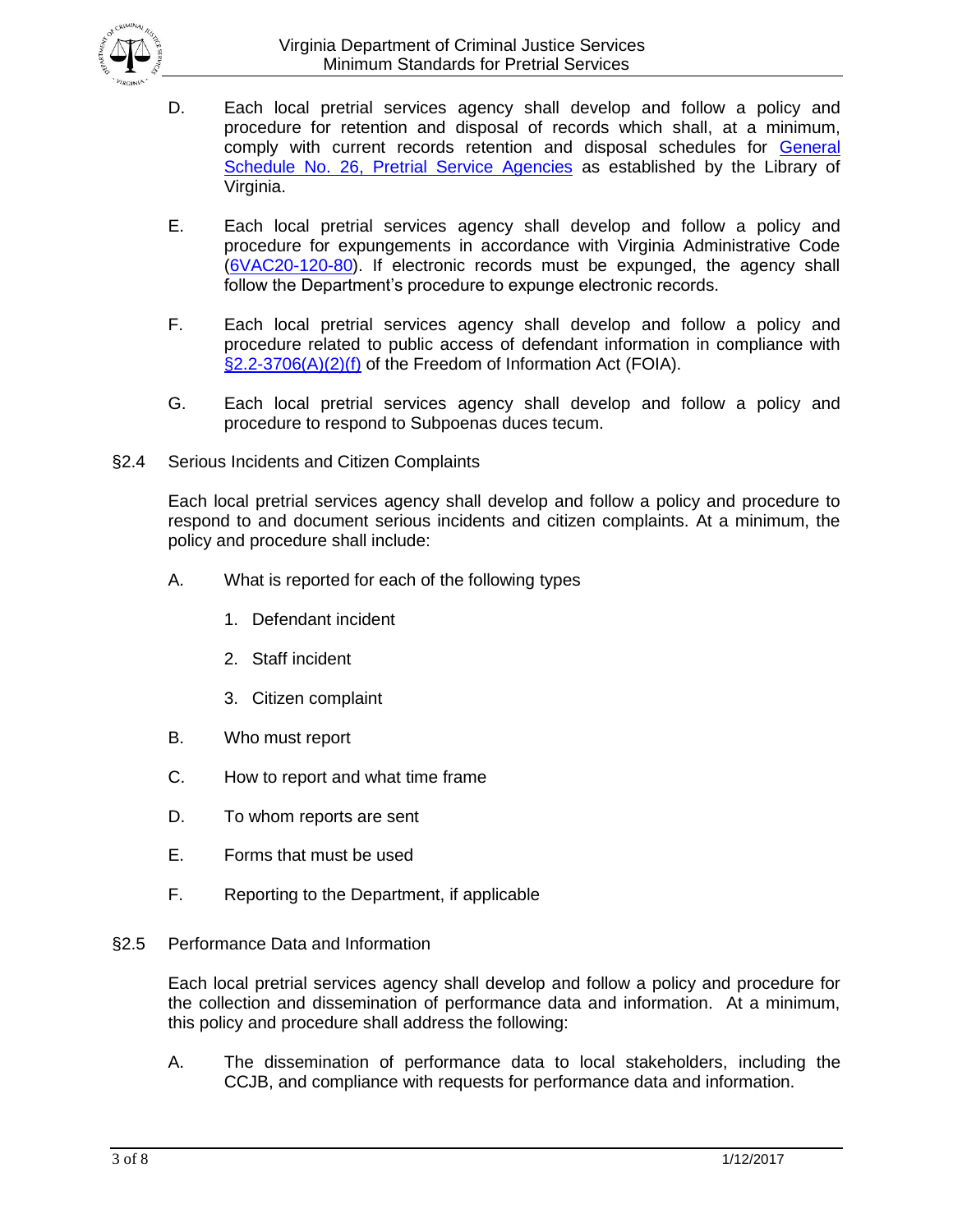

- D. Each local pretrial services agency shall develop and follow a policy and procedure for retention and disposal of records which shall, at a minimum, comply with current records retention and disposal schedules for [General](http://www.lva.virginia.gov/agencies/records/sched_local/GS-26.pdf)  [Schedule No. 26, Pretrial Service Agencies](http://www.lva.virginia.gov/agencies/records/sched_local/GS-26.pdf) as established by the Library of Virginia.
- E. Each local pretrial services agency shall develop and follow a policy and procedure for expungements in accordance with Virginia Administrative Code [\(6VAC20-120-80\)](http://law.lis.virginia.gov/admincode/title6/agency20/chapter120/section80/). If electronic records must be expunged, the agency shall follow the Department's procedure to expunge electronic records.
- F. Each local pretrial services agency shall develop and follow a policy and procedure related to public access of defendant information in compliance with [§2.2-3706\(A\)\(2\)\(f\)](http://law.lis.virginia.gov/vacode/title2.2/chapter37/section2.2-3706/) of the Freedom of Information Act (FOIA).
- G. Each local pretrial services agency shall develop and follow a policy and procedure to respond to Subpoenas duces tecum.
- §2.4 Serious Incidents and Citizen Complaints

Each local pretrial services agency shall develop and follow a policy and procedure to respond to and document serious incidents and citizen complaints. At a minimum, the policy and procedure shall include:

- A. What is reported for each of the following types
	- 1. Defendant incident
	- 2. Staff incident
	- 3. Citizen complaint
- B. Who must report
- C. How to report and what time frame
- D. To whom reports are sent
- E. Forms that must be used
- F. Reporting to the Department, if applicable
- §2.5 Performance Data and Information

Each local pretrial services agency shall develop and follow a policy and procedure for the collection and dissemination of performance data and information. At a minimum, this policy and procedure shall address the following:

A. The dissemination of performance data to local stakeholders, including the CCJB, and compliance with requests for performance data and information.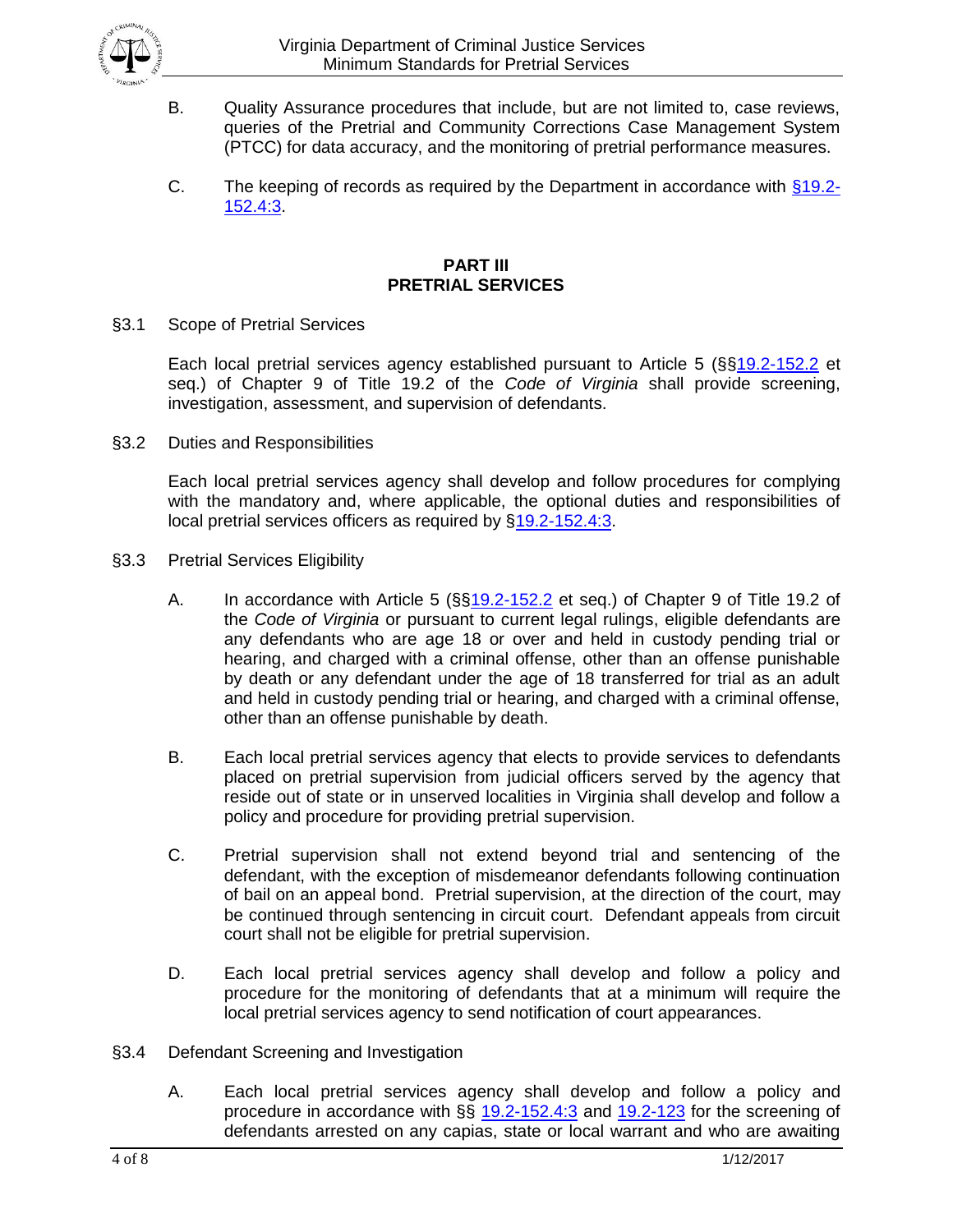

- B. Quality Assurance procedures that include, but are not limited to, case reviews, queries of the Pretrial and Community Corrections Case Management System (PTCC) for data accuracy, and the monitoring of pretrial performance measures.
- C. The keeping of records as required by the Department in accordance with  $§19.2-$ [152.4:3.](http://law.lis.virginia.gov/vacode/title19.2/chapter9/section19.2-152.4:3/)

#### **PART III PRETRIAL SERVICES**

§3.1 Scope of Pretrial Services

Each local pretrial services agency established pursuant to Article 5 (§[§19.2-152.2](http://leg1.state.va.us/cgi-bin/legp504.exe?000+cod+19.2-152.2) et seq.) of Chapter 9 of Title 19.2 of the *Code of Virginia* shall provide screening, investigation, assessment, and supervision of defendants.

§3.2 Duties and Responsibilities

Each local pretrial services agency shall develop and follow procedures for complying with the mandatory and, where applicable, the optional duties and responsibilities of local pretrial services officers as required by [§19.2-152.4:3.](http://law.lis.virginia.gov/vacode/19.2-152.4:3/)

- §3.3 Pretrial Services Eligibility
	- A. In accordance with Article 5 (§[§19.2-152.2](http://leg1.state.va.us/cgi-bin/legp504.exe?000+cod+19.2-152.2) et seq.) of Chapter 9 of Title 19.2 of the *Code of Virginia* or pursuant to current legal rulings, eligible defendants are any defendants who are age 18 or over and held in custody pending trial or hearing, and charged with a criminal offense, other than an offense punishable by death or any defendant under the age of 18 transferred for trial as an adult and held in custody pending trial or hearing, and charged with a criminal offense, other than an offense punishable by death.
	- B. Each local pretrial services agency that elects to provide services to defendants placed on pretrial supervision from judicial officers served by the agency that reside out of state or in unserved localities in Virginia shall develop and follow a policy and procedure for providing pretrial supervision.
	- C. Pretrial supervision shall not extend beyond trial and sentencing of the defendant, with the exception of misdemeanor defendants following continuation of bail on an appeal bond. Pretrial supervision, at the direction of the court, may be continued through sentencing in circuit court. Defendant appeals from circuit court shall not be eligible for pretrial supervision.
	- D. Each local pretrial services agency shall develop and follow a policy and procedure for the monitoring of defendants that at a minimum will require the local pretrial services agency to send notification of court appearances.
- §3.4 Defendant Screening and Investigation
	- A. Each local pretrial services agency shall develop and follow a policy and procedure in accordance with §§ [19.2-152.4:3](http://law.lis.virginia.gov/vacode/19.2-152.4:3/) and [19.2-123](http://leg1.state.va.us/cgi-bin/legp504.exe?000+cod+19.2-123) for the screening of defendants arrested on any capias, state or local warrant and who are awaiting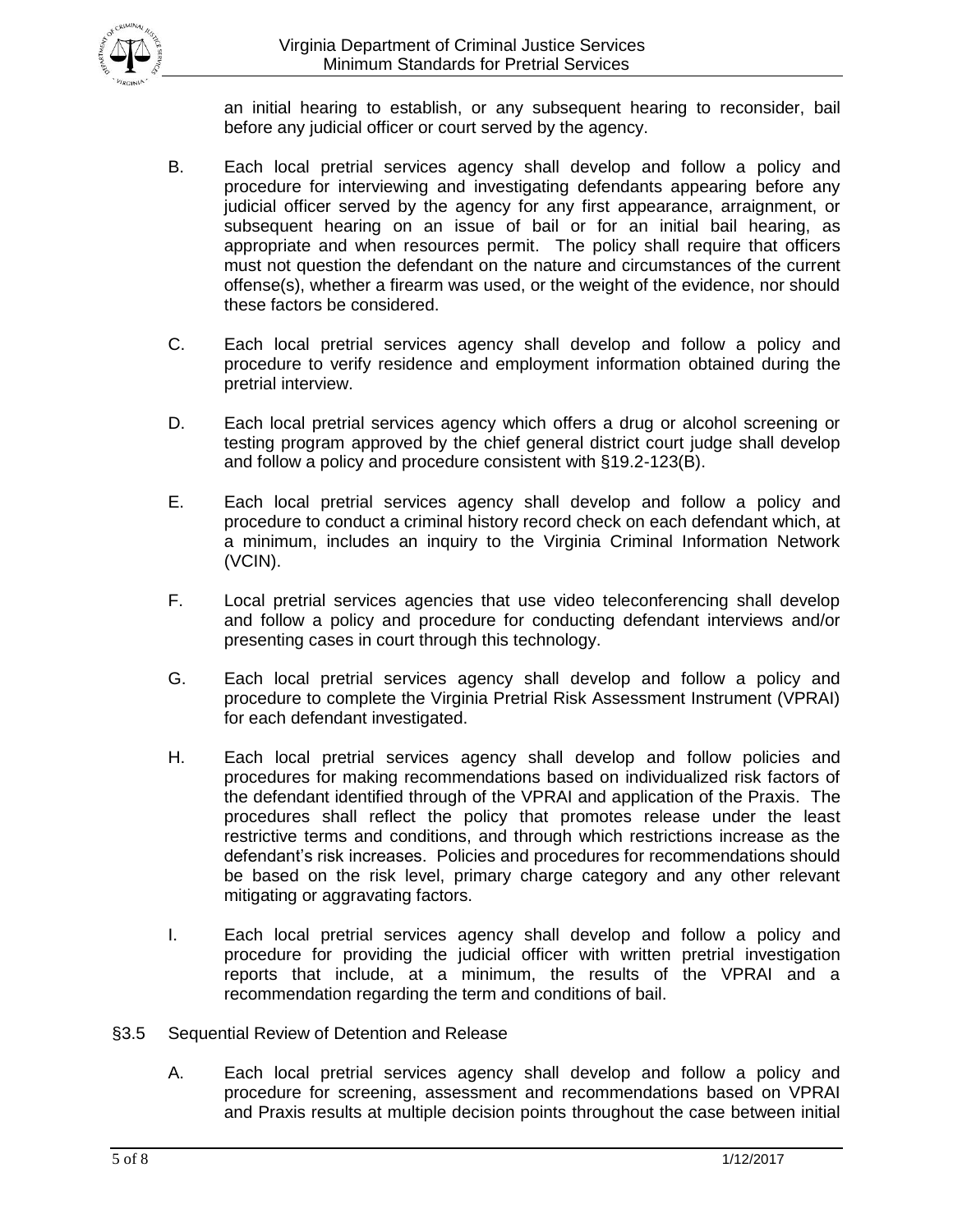

an initial hearing to establish, or any subsequent hearing to reconsider, bail before any judicial officer or court served by the agency.

- B. Each local pretrial services agency shall develop and follow a policy and procedure for interviewing and investigating defendants appearing before any judicial officer served by the agency for any first appearance, arraignment, or subsequent hearing on an issue of bail or for an initial bail hearing, as appropriate and when resources permit. The policy shall require that officers must not question the defendant on the nature and circumstances of the current offense(s), whether a firearm was used, or the weight of the evidence, nor should these factors be considered.
- C. Each local pretrial services agency shall develop and follow a policy and procedure to verify residence and employment information obtained during the pretrial interview.
- D. Each local pretrial services agency which offers a drug or alcohol screening or testing program approved by the chief general district court judge shall develop and follow a policy and procedure consistent with §19.2-123(B).
- E. Each local pretrial services agency shall develop and follow a policy and procedure to conduct a criminal history record check on each defendant which, at a minimum, includes an inquiry to the Virginia Criminal Information Network (VCIN).
- F. Local pretrial services agencies that use video teleconferencing shall develop and follow a policy and procedure for conducting defendant interviews and/or presenting cases in court through this technology.
- G. Each local pretrial services agency shall develop and follow a policy and procedure to complete the Virginia Pretrial Risk Assessment Instrument (VPRAI) for each defendant investigated.
- H. Each local pretrial services agency shall develop and follow policies and procedures for making recommendations based on individualized risk factors of the defendant identified through of the VPRAI and application of the Praxis. The procedures shall reflect the policy that promotes release under the least restrictive terms and conditions, and through which restrictions increase as the defendant's risk increases. Policies and procedures for recommendations should be based on the risk level, primary charge category and any other relevant mitigating or aggravating factors.
- I. Each local pretrial services agency shall develop and follow a policy and procedure for providing the judicial officer with written pretrial investigation reports that include, at a minimum, the results of the VPRAI and a recommendation regarding the term and conditions of bail.
- §3.5 Sequential Review of Detention and Release
	- A. Each local pretrial services agency shall develop and follow a policy and procedure for screening, assessment and recommendations based on VPRAI and Praxis results at multiple decision points throughout the case between initial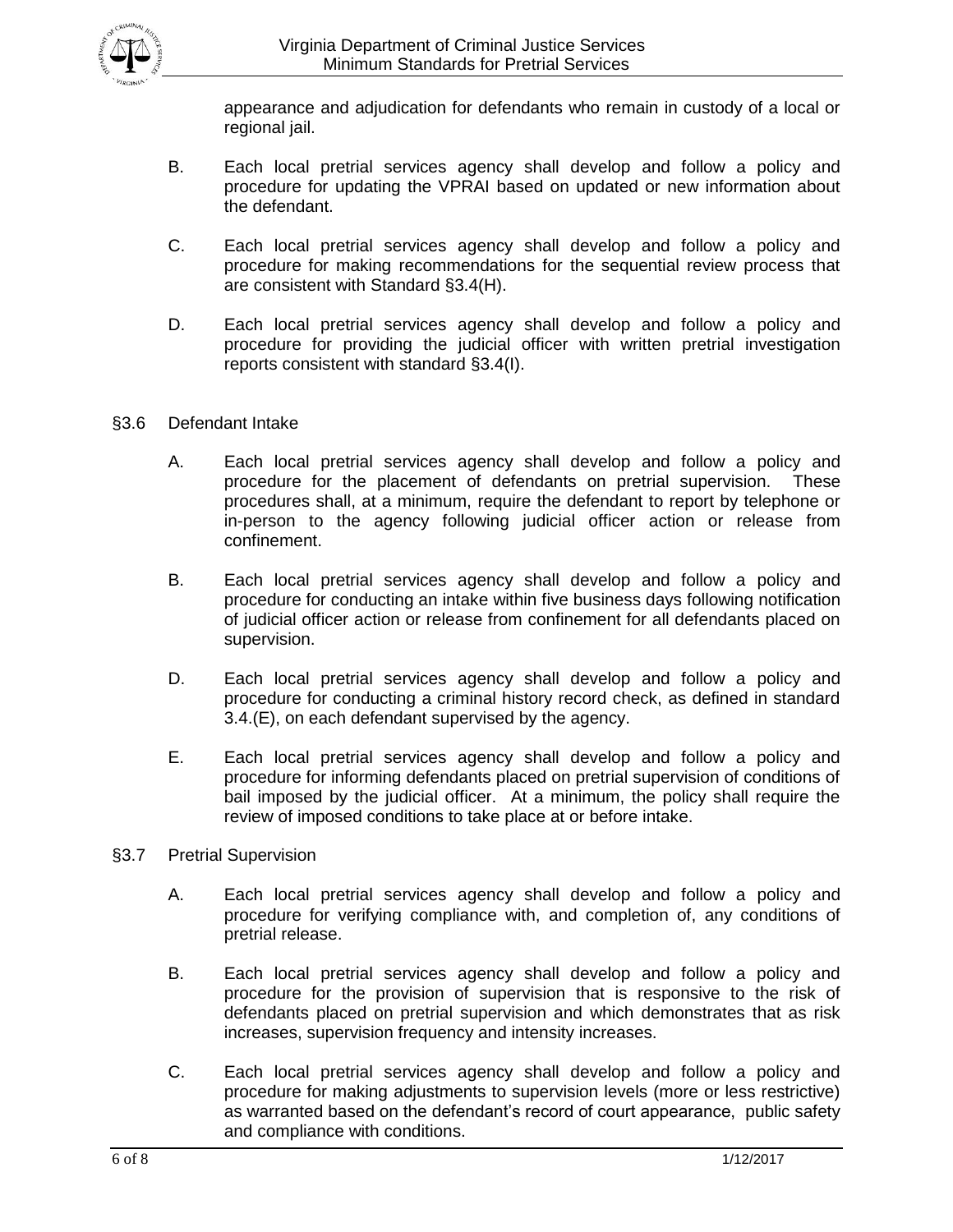

appearance and adjudication for defendants who remain in custody of a local or regional jail.

- B. Each local pretrial services agency shall develop and follow a policy and procedure for updating the VPRAI based on updated or new information about the defendant.
- C. Each local pretrial services agency shall develop and follow a policy and procedure for making recommendations for the sequential review process that are consistent with Standard §3.4(H).
- D. Each local pretrial services agency shall develop and follow a policy and procedure for providing the judicial officer with written pretrial investigation reports consistent with standard §3.4(I).
- §3.6 Defendant Intake
	- A. Each local pretrial services agency shall develop and follow a policy and procedure for the placement of defendants on pretrial supervision. These procedures shall, at a minimum, require the defendant to report by telephone or in-person to the agency following judicial officer action or release from confinement.
	- B. Each local pretrial services agency shall develop and follow a policy and procedure for conducting an intake within five business days following notification of judicial officer action or release from confinement for all defendants placed on supervision.
	- D. Each local pretrial services agency shall develop and follow a policy and procedure for conducting a criminal history record check, as defined in standard 3.4.(E), on each defendant supervised by the agency.
	- E. Each local pretrial services agency shall develop and follow a policy and procedure for informing defendants placed on pretrial supervision of conditions of bail imposed by the judicial officer. At a minimum, the policy shall require the review of imposed conditions to take place at or before intake.
- §3.7 Pretrial Supervision
	- A. Each local pretrial services agency shall develop and follow a policy and procedure for verifying compliance with, and completion of, any conditions of pretrial release.
	- B. Each local pretrial services agency shall develop and follow a policy and procedure for the provision of supervision that is responsive to the risk of defendants placed on pretrial supervision and which demonstrates that as risk increases, supervision frequency and intensity increases.
	- C. Each local pretrial services agency shall develop and follow a policy and procedure for making adjustments to supervision levels (more or less restrictive) as warranted based on the defendant's record of court appearance, public safety and compliance with conditions.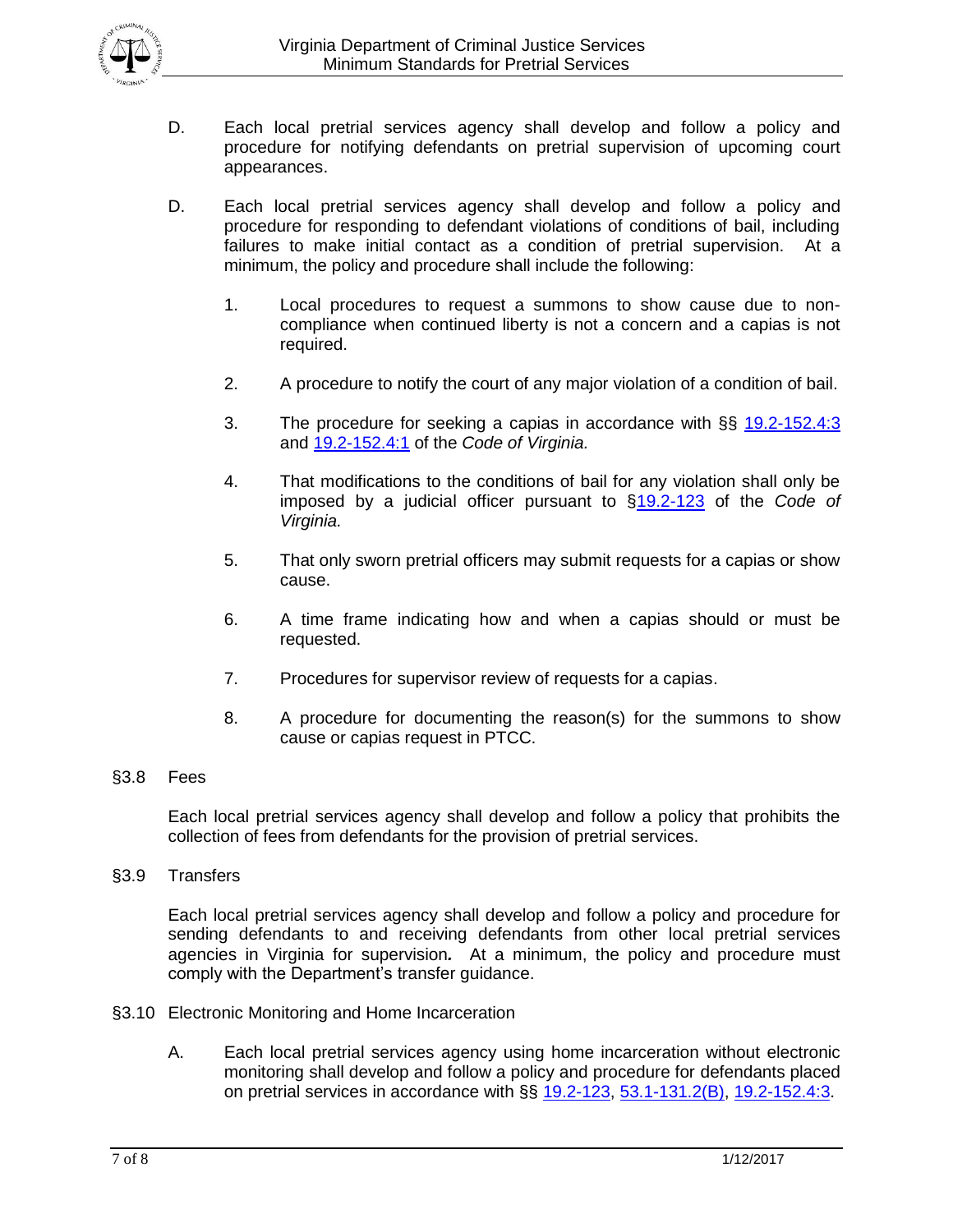

- D. Each local pretrial services agency shall develop and follow a policy and procedure for notifying defendants on pretrial supervision of upcoming court appearances.
- D. Each local pretrial services agency shall develop and follow a policy and procedure for responding to defendant violations of conditions of bail, including failures to make initial contact as a condition of pretrial supervision. At a minimum, the policy and procedure shall include the following:
	- 1. Local procedures to request a summons to show cause due to noncompliance when continued liberty is not a concern and a capias is not required.
	- 2. A procedure to notify the court of any major violation of a condition of bail.
	- 3. The procedure for seeking a capias in accordance with §§ [19.2-152.4:3](http://law.lis.virginia.gov/vacode/title19.2/chapter9/section19.2-152.4:3/) and [19.2-152.4:1](http://law.lis.virginia.gov/vacode/title19.2/chapter9/section19.2-152.4:1/) of the *Code of Virginia.*
	- 4. That modifications to the conditions of bail for any violation shall only be imposed by a judicial officer pursuant to [§19.2-123](http://leg1.state.va.us/cgi-bin/legp504.exe?000+cod+19.2-123) of the *Code of Virginia.*
	- 5. That only sworn pretrial officers may submit requests for a capias or show cause.
	- 6. A time frame indicating how and when a capias should or must be requested.
	- 7. Procedures for supervisor review of requests for a capias.
	- 8. A procedure for documenting the reason(s) for the summons to show cause or capias request in PTCC.
- §3.8 Fees

Each local pretrial services agency shall develop and follow a policy that prohibits the collection of fees from defendants for the provision of pretrial services.

§3.9 Transfers

Each local pretrial services agency shall develop and follow a policy and procedure for sending defendants to and receiving defendants from other local pretrial services agencies in Virginia for supervision*.* At a minimum, the policy and procedure must comply with the Department's transfer guidance.

- §3.10 Electronic Monitoring and Home Incarceration
	- A. Each local pretrial services agency using home incarceration without electronic monitoring shall develop and follow a policy and procedure for defendants placed on pretrial services in accordance with §§ [19.2-123,](http://law.lis.virginia.gov/vacode/title19.2/chapter9/section19.2-123/) [53.1-131.2\(](http://law.lis.virginia.gov/vacode/53.1-131.2/)B), [19.2-152.4:3.](http://law.lis.virginia.gov/vacode/title19.2/chapter9/section19.2-152.4:3/)